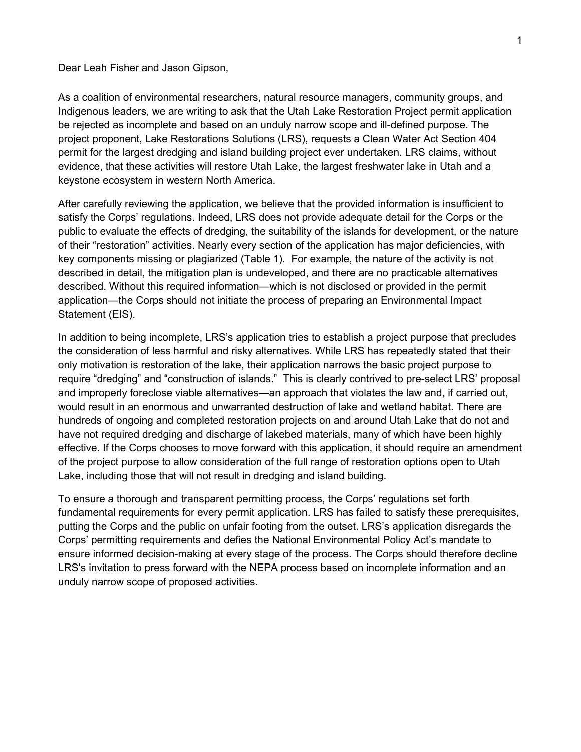Dear Leah Fisher and Jason Gipson,

As a coalition of environmental researchers, natural resource managers, community groups, and Indigenous leaders, we are writing to ask that the Utah Lake Restoration Project permit application be rejected as incomplete and based on an unduly narrow scope and ill-defined purpose. The project proponent, Lake Restorations Solutions (LRS), requests a Clean Water Act Section 404 permit for the largest dredging and island building project ever undertaken. LRS claims, without evidence, that these activities will restore Utah Lake, the largest freshwater lake in Utah and a keystone ecosystem in western North America.

After carefully reviewing the application, we believe that the provided information is insufficient to satisfy the Corps' regulations. Indeed, LRS does not provide adequate detail for the Corps or the public to evaluate the effects of dredging, the suitability of the islands for development, or the nature of their "restoration" activities. Nearly every section of the application has major deficiencies, with key components missing or plagiarized (Table 1). For example, the nature of the activity is not described in detail, the mitigation plan is undeveloped, and there are no practicable alternatives described. Without this required information—which is not disclosed or provided in the permit application—the Corps should not initiate the process of preparing an Environmental Impact Statement (EIS).

In addition to being incomplete, LRS's application tries to establish a project purpose that precludes the consideration of less harmful and risky alternatives. While LRS has repeatedly stated that their only motivation is restoration of the lake, their application narrows the basic project purpose to require "dredging" and "construction of islands." This is clearly contrived to pre-select LRS' proposal and improperly foreclose viable alternatives—an approach that violates the law and, if carried out, would result in an enormous and unwarranted destruction of lake and wetland habitat. There are hundreds of ongoing and completed restoration projects on and around Utah Lake that do not and have not required dredging and discharge of lakebed materials, many of which have been highly effective. If the Corps chooses to move forward with this application, it should require an amendment of the project purpose to allow consideration of the full range of restoration options open to Utah Lake, including those that will not result in dredging and island building.

To ensure a thorough and transparent permitting process, the Corps' regulations set forth fundamental requirements for every permit application. LRS has failed to satisfy these prerequisites, putting the Corps and the public on unfair footing from the outset. LRS's application disregards the Corps' permitting requirements and defies the National Environmental Policy Act's mandate to ensure informed decision-making at every stage of the process. The Corps should therefore decline LRS's invitation to press forward with the NEPA process based on incomplete information and an unduly narrow scope of proposed activities.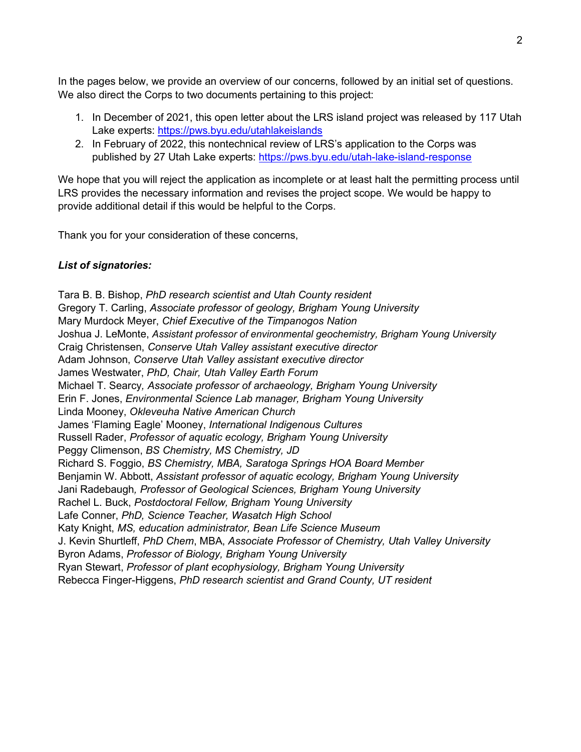In the pages below, we provide an overview of our concerns, followed by an initial set of questions. We also direct the Corps to two documents pertaining to this project:

- 1. In December of 2021, this open letter about the LRS island project was released by 117 Utah Lake experts:<https://pws.byu.edu/utahlakeislands>
- 2. In February of 2022, this nontechnical review of LRS's application to the Corps was published by 27 Utah Lake experts:<https://pws.byu.edu/utah-lake-island-response>

We hope that you will reject the application as incomplete or at least halt the permitting process until LRS provides the necessary information and revises the project scope. We would be happy to provide additional detail if this would be helpful to the Corps.

Thank you for your consideration of these concerns,

# *List of signatories:*

Tara B. B. Bishop, *PhD research scientist and Utah County resident* Gregory T. Carling, *Associate professor of geology, Brigham Young University* Mary Murdock Meyer, *Chief Executive of the Timpanogos Nation* Joshua J. LeMonte, *Assistant professor of environmental geochemistry, Brigham Young University* Craig Christensen, *Conserve Utah Valley assistant executive director* Adam Johnson, *Conserve Utah Valley assistant executive director* James Westwater, *PhD, Chair, Utah Valley Earth Forum* Michael T. Searcy*, Associate professor of archaeology, Brigham Young University* Erin F. Jones, *Environmental Science Lab manager, Brigham Young University* Linda Mooney, *Okleveuha Native American Church* James 'Flaming Eagle' Mooney, *International Indigenous Cultures* Russell Rader, *Professor of aquatic ecology, Brigham Young University* Peggy Climenson, *BS Chemistry, MS Chemistry, JD*  Richard S. Foggio, *BS Chemistry, MBA, Saratoga Springs HOA Board Member* Benjamin W. Abbott, *Assistant professor of aquatic ecology, Brigham Young University* Jani Radebaugh*, Professor of Geological Sciences, Brigham Young University* Rachel L. Buck, *Postdoctoral Fellow, Brigham Young University* Lafe Conner, *PhD, Science Teacher, Wasatch High School* Katy Knight, *MS, education administrator, Bean Life Science Museum* J. Kevin Shurtleff, *PhD Chem*, MBA, *Associate Professor of Chemistry, Utah Valley University* Byron Adams, *Professor of Biology, Brigham Young University* Ryan Stewart, *Professor of plant ecophysiology, Brigham Young University* Rebecca Finger-Higgens, *PhD research scientist and Grand County, UT resident*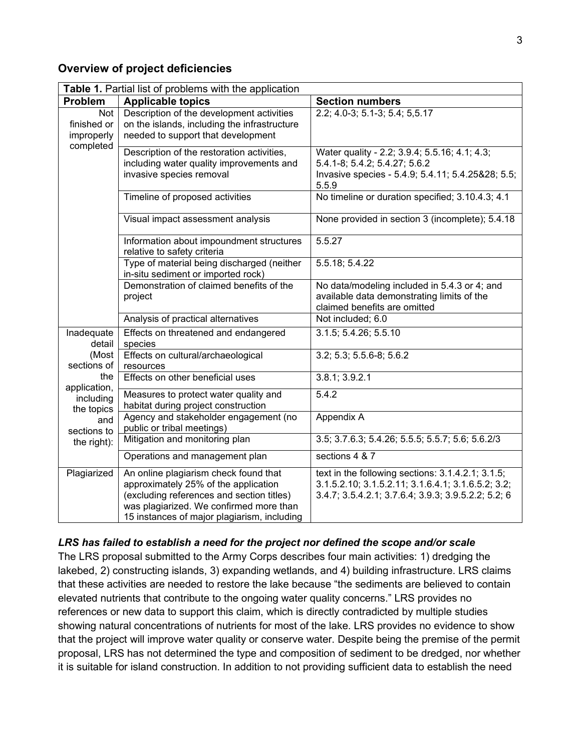# **Overview of project deficiencies**

| Table 1. Partial list of problems with the application                                                                              |                                                                                                                                                                                                                      |                                                                                                                                                                |
|-------------------------------------------------------------------------------------------------------------------------------------|----------------------------------------------------------------------------------------------------------------------------------------------------------------------------------------------------------------------|----------------------------------------------------------------------------------------------------------------------------------------------------------------|
| Problem                                                                                                                             | <b>Applicable topics</b>                                                                                                                                                                                             | <b>Section numbers</b>                                                                                                                                         |
| Not<br>finished or<br>improperly<br>completed                                                                                       | Description of the development activities<br>on the islands, including the infrastructure<br>needed to support that development                                                                                      | 2.2; 4.0-3; 5.1-3; 5.4; 5,5.17                                                                                                                                 |
|                                                                                                                                     | Description of the restoration activities,<br>including water quality improvements and<br>invasive species removal                                                                                                   | Water quality - 2.2; 3.9.4; 5.5.16; 4.1; 4.3;<br>5.4.1-8; 5.4.2; 5.4.27; 5.6.2<br>Invasive species - 5.4.9; 5.4.11; 5.4.25&28; 5.5;<br>5.5.9                   |
|                                                                                                                                     | Timeline of proposed activities                                                                                                                                                                                      | No timeline or duration specified; 3.10.4.3; 4.1                                                                                                               |
|                                                                                                                                     | Visual impact assessment analysis                                                                                                                                                                                    | None provided in section 3 (incomplete); 5.4.18                                                                                                                |
|                                                                                                                                     | Information about impoundment structures<br>relative to safety criteria                                                                                                                                              | 5.5.27                                                                                                                                                         |
|                                                                                                                                     | Type of material being discharged (neither<br>in-situ sediment or imported rock)                                                                                                                                     | 5.5.18; 5.4.22                                                                                                                                                 |
|                                                                                                                                     | Demonstration of claimed benefits of the<br>project                                                                                                                                                                  | No data/modeling included in 5.4.3 or 4; and<br>available data demonstrating limits of the<br>claimed benefits are omitted                                     |
|                                                                                                                                     | Analysis of practical alternatives                                                                                                                                                                                   | Not included; 6.0                                                                                                                                              |
| Inadequate<br>detail<br>(Most<br>sections of<br>the<br>application,<br>including<br>the topics<br>and<br>sections to<br>the right): | Effects on threatened and endangered<br>species                                                                                                                                                                      | 3.1.5; 5.4.26; 5.5.10                                                                                                                                          |
|                                                                                                                                     | Effects on cultural/archaeological<br>resources                                                                                                                                                                      | 3.2; 5.3; 5.5.6-8; 5.6.2                                                                                                                                       |
|                                                                                                                                     | Effects on other beneficial uses                                                                                                                                                                                     | 3.8.1; 3.9.2.1                                                                                                                                                 |
|                                                                                                                                     | Measures to protect water quality and<br>habitat during project construction                                                                                                                                         | 5.4.2                                                                                                                                                          |
|                                                                                                                                     | Agency and stakeholder engagement (no<br>public or tribal meetings)                                                                                                                                                  | Appendix A                                                                                                                                                     |
|                                                                                                                                     | Mitigation and monitoring plan                                                                                                                                                                                       | 3.5; 3.7.6.3; 5.4.26; 5.5.5; 5.5.7; 5.6; 5.6.2/3                                                                                                               |
|                                                                                                                                     | Operations and management plan                                                                                                                                                                                       | sections 4 & 7                                                                                                                                                 |
| Plagiarized                                                                                                                         | An online plagiarism check found that<br>approximately 25% of the application<br>(excluding references and section titles)<br>was plagiarized. We confirmed more than<br>15 instances of major plagiarism, including | text in the following sections: 3.1.4.2.1; 3.1.5;<br>3.1.5.2.10; 3.1.5.2.11; 3.1.6.4.1; 3.1.6.5.2; 3.2;<br>3.4.7; 3.5.4.2.1; 3.7.6.4; 3.9.3; 3.9.5.2.2; 5.2; 6 |

# *LRS has failed to establish a need for the project nor defined the scope and/or scale*

The LRS proposal submitted to the Army Corps describes four main activities: 1) dredging the lakebed, 2) constructing islands, 3) expanding wetlands, and 4) building infrastructure. LRS claims that these activities are needed to restore the lake because "the sediments are believed to contain elevated nutrients that contribute to the ongoing water quality concerns." LRS provides no references or new data to support this claim, which is directly contradicted by multiple studies showing natural concentrations of nutrients for most of the lake. LRS provides no evidence to show that the project will improve water quality or conserve water. Despite being the premise of the permit proposal, LRS has not determined the type and composition of sediment to be dredged, nor whether it is suitable for island construction. In addition to not providing sufficient data to establish the need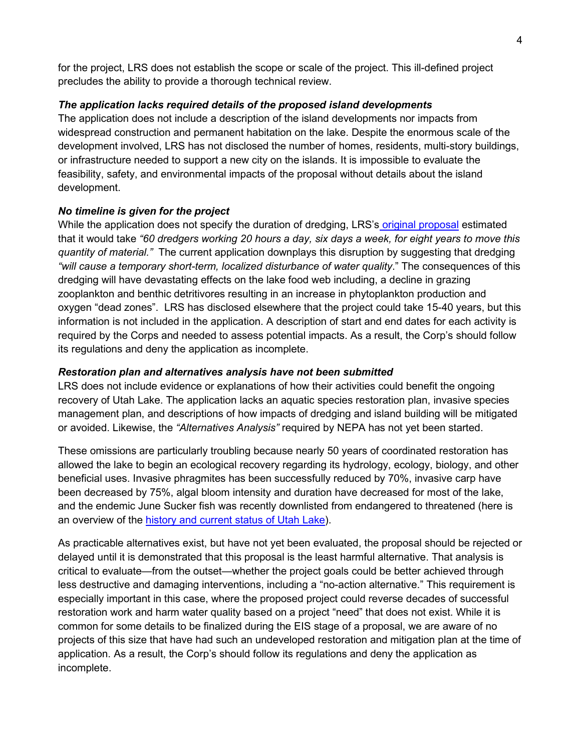for the project, LRS does not establish the scope or scale of the project. This ill-defined project precludes the ability to provide a thorough technical review.

## *The application lacks required details of the proposed island developments*

The application does not include a description of the island developments nor impacts from widespread construction and permanent habitation on the lake. Despite the enormous scale of the development involved, LRS has not disclosed the number of homes, residents, multi-story buildings, or infrastructure needed to support a new city on the islands. It is impossible to evaluate the feasibility, safety, and environmental impacts of the proposal without details about the island development.

## *No timeline is given for the project*

While the application does not specify the duration of dredging, LRS's [original proposal](https://ffsl.utah.gov/wp-content/uploads/UtahLakeRestorationProject-DigitalRedacted-011718-1.pdf) estimated that it would take *"60 dredgers working 20 hours a day, six days a week, for eight years to move this quantity of material."* The current application downplays this disruption by suggesting that dredging *"will cause a temporary short-term, localized disturbance of water quality*." The consequences of this dredging will have devastating effects on the lake food web including, a decline in grazing zooplankton and benthic detritivores resulting in an increase in phytoplankton production and oxygen "dead zones". LRS has disclosed elsewhere that the project could take 15-40 years, but this information is not included in the application. A description of start and end dates for each activity is required by the Corps and needed to assess potential impacts. As a result, the Corp's should follow its regulations and deny the application as incomplete.

## *Restoration plan and alternatives analysis have not been submitted*

LRS does not include evidence or explanations of how their activities could benefit the ongoing recovery of Utah Lake. The application lacks an aquatic species restoration plan, invasive species management plan, and descriptions of how impacts of dredging and island building will be mitigated or avoided. Likewise, the *"Alternatives Analysis"* required by NEPA has not yet been started.

These omissions are particularly troubling because nearly 50 years of coordinated restoration has allowed the lake to begin an ecological recovery regarding its hydrology, ecology, biology, and other beneficial uses. Invasive phragmites has been successfully reduced by 70%, invasive carp have been decreased by 75%, algal bloom intensity and duration have decreased for most of the lake, and the endemic June Sucker fish was recently downlisted from endangered to threatened (here is an overview of the [history and current status of Utah Lake\)](https://pws.byu.edu/utah-lake/about-utah-lake).

As practicable alternatives exist, but have not yet been evaluated, the proposal should be rejected or delayed until it is demonstrated that this proposal is the least harmful alternative. That analysis is critical to evaluate—from the outset—whether the project goals could be better achieved through less destructive and damaging interventions, including a "no-action alternative." This requirement is especially important in this case, where the proposed project could reverse decades of successful restoration work and harm water quality based on a project "need" that does not exist. While it is common for some details to be finalized during the EIS stage of a proposal, we are aware of no projects of this size that have had such an undeveloped restoration and mitigation plan at the time of application. As a result, the Corp's should follow its regulations and deny the application as incomplete.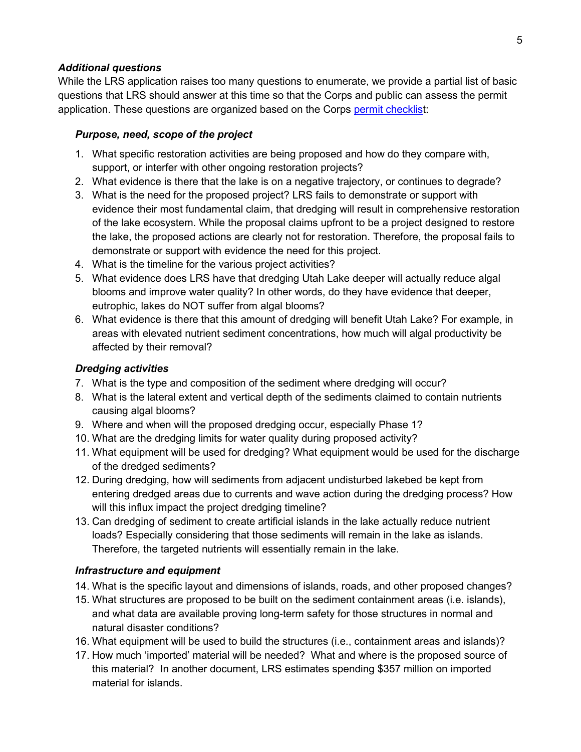### *Additional questions*

While the LRS application raises too many questions to enumerate, we provide a partial list of basic questions that LRS should answer at this time so that the Corps and public can assess the permit application. These questions are organized based on the Corps [permit checklist](https://www.spk.usace.army.mil/Portals/12/documents/regulatory/pdf/IP_Info.pdf):

## *Purpose, need, scope of the project*

- 1. What specific restoration activities are being proposed and how do they compare with, support, or interfer with other ongoing restoration projects?
- 2. What evidence is there that the lake is on a negative trajectory, or continues to degrade?
- 3. What is the need for the proposed project? LRS fails to demonstrate or support with evidence their most fundamental claim, that dredging will result in comprehensive restoration of the lake ecosystem. While the proposal claims upfront to be a project designed to restore the lake, the proposed actions are clearly not for restoration. Therefore, the proposal fails to demonstrate or support with evidence the need for this project.
- 4. What is the timeline for the various project activities?
- 5. What evidence does LRS have that dredging Utah Lake deeper will actually reduce algal blooms and improve water quality? In other words, do they have evidence that deeper, eutrophic, lakes do NOT suffer from algal blooms?
- 6. What evidence is there that this amount of dredging will benefit Utah Lake? For example, in areas with elevated nutrient sediment concentrations, how much will algal productivity be affected by their removal?

# *Dredging activities*

- 7. What is the type and composition of the sediment where dredging will occur?
- 8. What is the lateral extent and vertical depth of the sediments claimed to contain nutrients causing algal blooms?
- 9. Where and when will the proposed dredging occur, especially Phase 1?
- 10. What are the dredging limits for water quality during proposed activity?
- 11. What equipment will be used for dredging? What equipment would be used for the discharge of the dredged sediments?
- 12. During dredging, how will sediments from adjacent undisturbed lakebed be kept from entering dredged areas due to currents and wave action during the dredging process? How will this influx impact the project dredging timeline?
- 13. Can dredging of sediment to create artificial islands in the lake actually reduce nutrient loads? Especially considering that those sediments will remain in the lake as islands. Therefore, the targeted nutrients will essentially remain in the lake.

# *Infrastructure and equipment*

- 14. What is the specific layout and dimensions of islands, roads, and other proposed changes?
- 15. What structures are proposed to be built on the sediment containment areas (i.e. islands), and what data are available proving long-term safety for those structures in normal and natural disaster conditions?
- 16. What equipment will be used to build the structures (i.e., containment areas and islands)?
- 17. How much 'imported' material will be needed? What and where is the proposed source of this material? In another document, LRS estimates spending \$357 million on imported material for islands.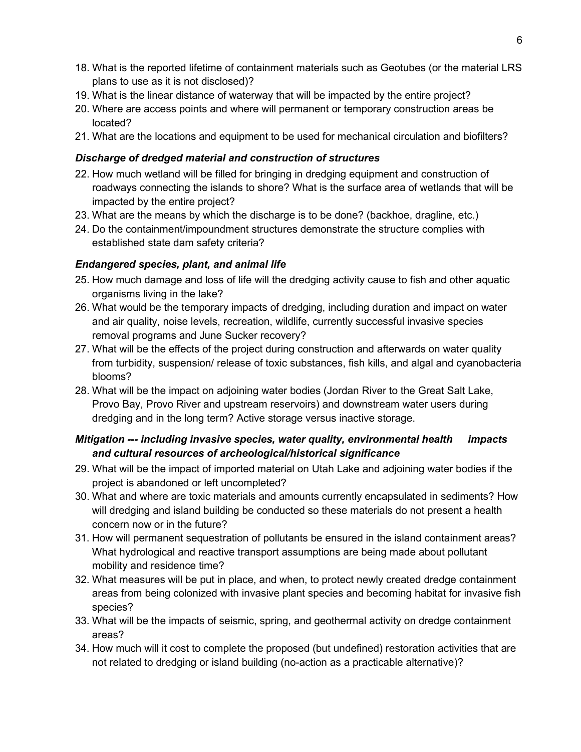- 18. What is the reported lifetime of containment materials such as Geotubes (or the material LRS plans to use as it is not disclosed)?
- 19. What is the linear distance of waterway that will be impacted by the entire project?
- 20. Where are access points and where will permanent or temporary construction areas be located?
- 21. What are the locations and equipment to be used for mechanical circulation and biofilters?

### *Discharge of dredged material and construction of structures*

- 22. How much wetland will be filled for bringing in dredging equipment and construction of roadways connecting the islands to shore? What is the surface area of wetlands that will be impacted by the entire project?
- 23. What are the means by which the discharge is to be done? (backhoe, dragline, etc.)
- 24. Do the containment/impoundment structures demonstrate the structure complies with established state dam safety criteria?

## *Endangered species, plant, and animal life*

- 25. How much damage and loss of life will the dredging activity cause to fish and other aquatic organisms living in the lake?
- 26. What would be the temporary impacts of dredging, including duration and impact on water and air quality, noise levels, recreation, wildlife, currently successful invasive species removal programs and June Sucker recovery?
- 27. What will be the effects of the project during construction and afterwards on water quality from turbidity, suspension/ release of toxic substances, fish kills, and algal and cyanobacteria blooms?
- 28. What will be the impact on adjoining water bodies (Jordan River to the Great Salt Lake, Provo Bay, Provo River and upstream reservoirs) and downstream water users during dredging and in the long term? Active storage versus inactive storage.

# *Mitigation --- including invasive species, water quality, environmental health impacts and cultural resources of archeological/historical significance*

- 29. What will be the impact of imported material on Utah Lake and adjoining water bodies if the project is abandoned or left uncompleted?
- 30. What and where are toxic materials and amounts currently encapsulated in sediments? How will dredging and island building be conducted so these materials do not present a health concern now or in the future?
- 31. How will permanent sequestration of pollutants be ensured in the island containment areas? What hydrological and reactive transport assumptions are being made about pollutant mobility and residence time?
- 32. What measures will be put in place, and when, to protect newly created dredge containment areas from being colonized with invasive plant species and becoming habitat for invasive fish species?
- 33. What will be the impacts of seismic, spring, and geothermal activity on dredge containment areas?
- 34. How much will it cost to complete the proposed (but undefined) restoration activities that are not related to dredging or island building (no-action as a practicable alternative)?